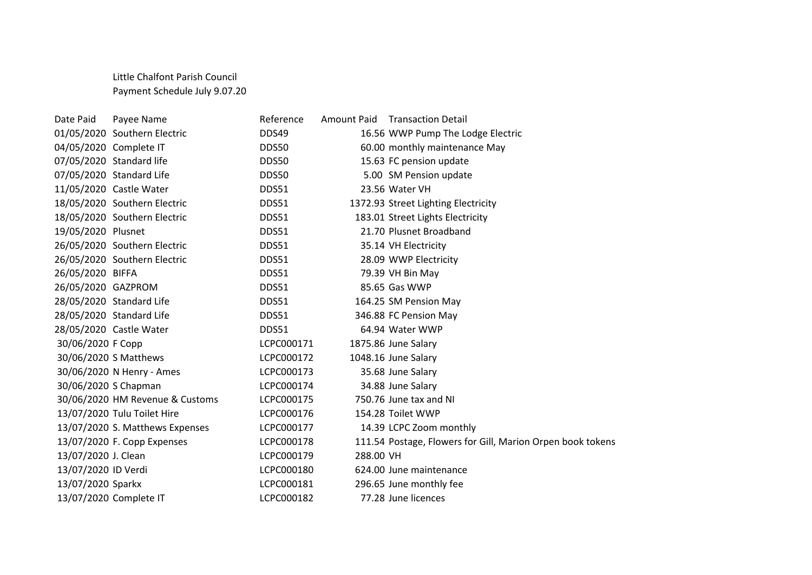## Little Chalfont Parish Council Payment Schedule July 9.07.20

| Date Paid              | Payee Name                      | Reference  |           | Amount Paid Transaction Detail                             |
|------------------------|---------------------------------|------------|-----------|------------------------------------------------------------|
|                        | 01/05/2020 Southern Electric    | DDS49      |           | 16.56 WWP Pump The Lodge Electric                          |
| 04/05/2020 Complete IT |                                 | DDS50      |           | 60.00 monthly maintenance May                              |
|                        | 07/05/2020 Standard life        | DDS50      |           | 15.63 FC pension update                                    |
|                        | 07/05/2020 Standard Life        | DDS50      |           | 5.00 SM Pension update                                     |
|                        | 11/05/2020 Castle Water         | DDS51      |           | 23.56 Water VH                                             |
|                        | 18/05/2020 Southern Electric    | DDS51      |           | 1372.93 Street Lighting Electricity                        |
|                        | 18/05/2020 Southern Electric    | DDS51      |           | 183.01 Street Lights Electricity                           |
| 19/05/2020 Plusnet     |                                 | DDS51      |           | 21.70 Plusnet Broadband                                    |
|                        | 26/05/2020 Southern Electric    | DDS51      |           | 35.14 VH Electricity                                       |
|                        | 26/05/2020 Southern Electric    | DDS51      |           | 28.09 WWP Electricity                                      |
| 26/05/2020 BIFFA       |                                 | DDS51      |           | 79.39 VH Bin May                                           |
| 26/05/2020 GAZPROM     |                                 | DDS51      |           | 85.65 Gas WWP                                              |
|                        | 28/05/2020 Standard Life        | DDS51      |           | 164.25 SM Pension May                                      |
|                        | 28/05/2020 Standard Life        | DDS51      |           | 346.88 FC Pension May                                      |
|                        | 28/05/2020 Castle Water         | DDS51      |           | 64.94 Water WWP                                            |
| 30/06/2020 F Copp      |                                 | LCPC000171 |           | 1875.86 June Salary                                        |
|                        | 30/06/2020 S Matthews           | LCPC000172 |           | 1048.16 June Salary                                        |
|                        | 30/06/2020 N Henry - Ames       | LCPC000173 |           | 35.68 June Salary                                          |
| 30/06/2020 S Chapman   |                                 | LCPC000174 |           | 34.88 June Salary                                          |
|                        | 30/06/2020 HM Revenue & Customs | LCPC000175 |           | 750.76 June tax and NI                                     |
|                        | 13/07/2020 Tulu Toilet Hire     | LCPC000176 |           | 154.28 Toilet WWP                                          |
|                        | 13/07/2020 S. Matthews Expenses | LCPC000177 |           | 14.39 LCPC Zoom monthly                                    |
|                        | 13/07/2020 F. Copp Expenses     | LCPC000178 |           | 111.54 Postage, Flowers for Gill, Marion Orpen book tokens |
| 13/07/2020 J. Clean    |                                 | LCPC000179 | 288.00 VH |                                                            |
| 13/07/2020 ID Verdi    |                                 | LCPC000180 |           | 624.00 June maintenance                                    |
| 13/07/2020 Sparkx      |                                 | LCPC000181 |           | 296.65 June monthly fee                                    |
|                        | 13/07/2020 Complete IT          | LCPC000182 |           | 77.28 June licences                                        |